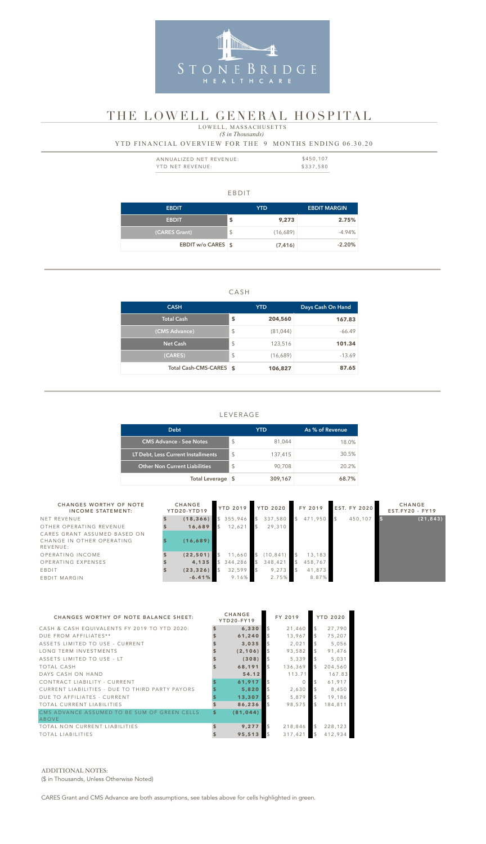#### EBDIT

| <b>EBDIT</b>              |               | YTD.     | <b>EBDIT MARGIN</b> |
|---------------------------|---------------|----------|---------------------|
| <b>EBDIT</b>              | \$            | 9,273    | 2.75%               |
| (CARES Grant)             | $\frac{1}{2}$ | (16,689) | $-4.94\%$           |
| <b>EBDIT w/o CARES \$</b> |               | (7, 416) | $-2.20%$            |

 *(\$ in Thousands)*

### CASH

| <b>CASH</b>             |                         | <b>YTD</b> | Days Cash On Hand |  |  |
|-------------------------|-------------------------|------------|-------------------|--|--|
| <b>Total Cash</b>       | \$                      | 204,560    | 167.83            |  |  |
| (CMS Advance)           | $\sqrt[6]{\frac{1}{2}}$ | (81, 044)  | $-66.49$          |  |  |
| <b>Net Cash</b>         | $\sqrt[6]{\frac{1}{2}}$ | 123,516    | 101.34            |  |  |
| (CARES)                 | $\sqrt[6]{\frac{1}{2}}$ | (16,689)   | $-13.69$          |  |  |
| Total Cash-CMS-CARES \$ |                         | 106,827    | 87.65             |  |  |

| ANNUALIZED NET REVENUE: | \$450,107 |
|-------------------------|-----------|
| YTD NET REVENUE:        | \$337,580 |

### LEVERAGE

| <b>Debt</b>                          |                         | YTD     | As % of Revenue |
|--------------------------------------|-------------------------|---------|-----------------|
| <b>CMS Advance - See Notes</b>       | $\sqrt[6]{\frac{1}{2}}$ | 81,044  | 18.0%           |
| LT Debt, Less Current Installments   | $\mathcal{L}$           | 137,415 | 30.5%           |
| <b>Other Non Current Liabilities</b> | $\mathcal{S}$           | 90,708  | 20.2%           |
| Total Leverage \$                    |                         | 309,167 | 68.7%           |

### YTD FINANCIAL OVERVIEW FOR THE 9 MONTHS ENDING 06.30.20



# THE LOWELL GENERAL HOSPITAL

LOWELL, MASSACHUSETTS

| <b>CHANGES WORTHY OF NOTE</b><br><b>INCOME STATEMENT:</b>             | <b>CHANGE</b><br>YTD20-YTD19 | YTD 2019 YTD 2020 |              |           |               | FY 2019 | <b>EST. FY 2020</b> | <b>CHANGE</b><br>$EST.FY20 - FY19$ |
|-----------------------------------------------------------------------|------------------------------|-------------------|--------------|-----------|---------------|---------|---------------------|------------------------------------|
| NET REVENUE                                                           | (18, 366)                    | 355,946           |              | 337,580   | $\mathcal{S}$ | 471,950 | 450,107             | (21, 843)                          |
| OTHER OPERATING REVENUE                                               | 16,689                       | 12,621            |              | 29,310    |               |         |                     |                                    |
| CARES GRANT ASSUMED BASED ON<br>CHANGE IN OTHER OPERATING<br>REVENUE: | (16, 689)                    |                   |              |           |               |         |                     |                                    |
| OPERATING INCOME                                                      | (22, 501)                    | 11,660            | $\mathsf{S}$ | (10, 841) |               | 13,183  |                     |                                    |
| OPERATING EXPENSES                                                    | 4,135                        | 344,286           |              | 348,421   |               | 458,767 |                     |                                    |
| EBDIT                                                                 | (23, 326)                    | 32,599            |              | 9,273     |               | 41,873  |                     |                                    |
| EBDIT MARGIN                                                          | $-6.41%$                     | $9.16\%$          |              | 2.75%     |               | 8.87%   |                     |                                    |

| <b>CHANGES WORTHY OF NOTE BALANCE SHEET:</b>          | <b>CHANGE</b><br>YTD20-FY19 |                | FY 2019  |                | <b>YTD 2020</b> |
|-------------------------------------------------------|-----------------------------|----------------|----------|----------------|-----------------|
| CASH & CASH EQUIVALENTS FY 2019 TO YTD 2020:          | 6,330                       | $\mathfrak{L}$ | 21,460   | $\mathfrak{L}$ | 27,790          |
| DUE FROM AFFILIATES**                                 | 61,240                      |                | 13,967   | <sup>\$</sup>  | 75,207          |
| ASSETS LIMITED TO USE - CURRENT                       | 3,035                       |                | 2,021    |                | 5,056           |
| LONG TERM INVESTMENTS                                 | (2, 106)                    | $\mathcal{L}$  | 93,582   | $\mathfrak{L}$ | 91,476          |
| ASSETS LIMITED TO USE - LT                            | (308)                       |                | 5,339    |                | 5,031           |
| <b>TOTAL CASH</b>                                     | 68,191                      | $\mathfrak{L}$ | 136,369  | $\mathfrak{L}$ | 204,560         |
| DAYS CASH ON HAND                                     | 54.12                       |                | 113.71   |                | 167.83          |
| CONTRACT LIABILITY - CURRENT                          | 61,917                      |                | $\Omega$ | <sup>\$</sup>  | 61,917          |
| CURRENT LIABILITIES - DUE TO THIRD PARTY PAYORS       | 5,820                       | $\mathfrak{L}$ | 2,630    |                | 8,450           |
| DUE TO AFFILIATES - CURRENT                           | 13,307                      | $\mathfrak{L}$ | 5,879    | $\mathfrak{L}$ | 19,186          |
| <b>TOTAL CURRENT LIABILITIES</b>                      | 86,236                      | $\mathfrak{L}$ | 98.575   | \$.            | 184,811         |
| CMS ADVANCE ASSUMED TO BE SUM OF GREEN CELLS<br>ABOVE | \$<br>(81, 044)             |                |          |                |                 |
| TOTAL NON CURRENT LIABILITIES                         | 9.277                       | $\mathfrak{L}$ | 218,846  | $\mathcal{S}$  | 228,123         |
| <b>TOTAL LIABILITIES</b>                              | 95,513                      | $\mathcal{S}$  | 317,421  | $\mathcal{S}$  | 412,934         |

#### ADDITIONAL NOTES:

(\$ in Thousands, Unless Otherwise Noted)

CARES Grant and CMS Advance are both assumptions, see tables above for cells highlighted in green.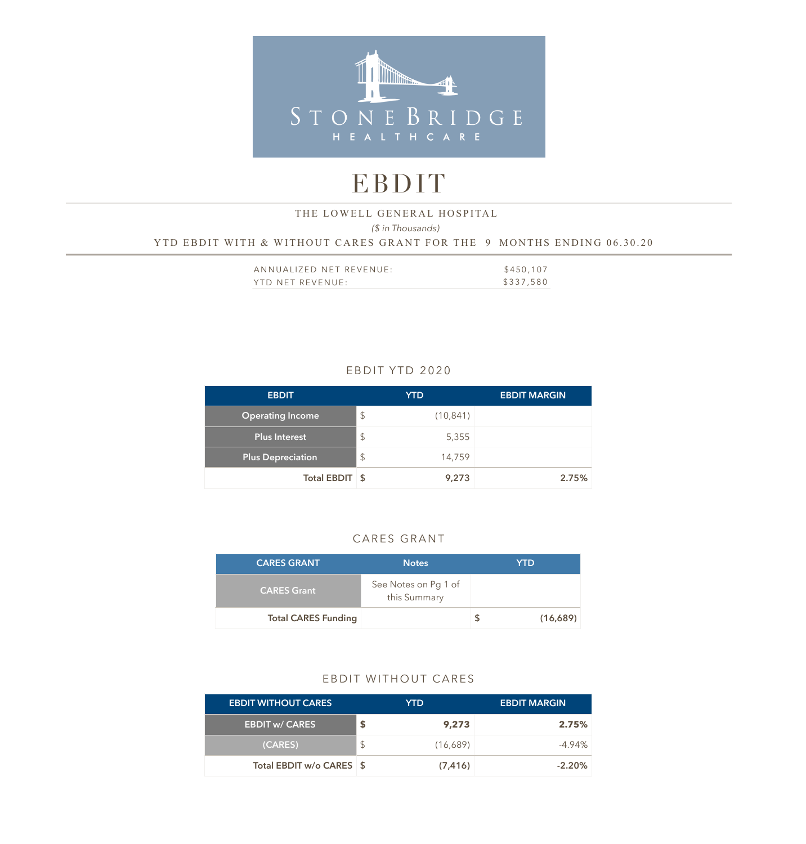

# EBDIT

### *(\$ in Thousands)*  YTD EBDIT WITH & WITHOUT CARES GRANT FOR THE 9 MONTHS ENDING 06.30.20 THE LOWELL GENERAL HOSPITAL

| ANNUALIZED NET REVENUE: | \$450,107 |
|-------------------------|-----------|
| YTD NET REVENUE:        | \$337,580 |

## EBDIT YTD 2020

| <b>EBDIT</b>             |               | <b>YTD</b> | <b>EBDIT MARGIN</b> |
|--------------------------|---------------|------------|---------------------|
| <b>Operating Income</b>  | $\mathcal{L}$ | (10, 841)  |                     |
| <b>Plus Interest</b>     | $\mathcal{L}$ | 5,355      |                     |
| <b>Plus Depreciation</b> | $\frac{1}{2}$ | 14,759     |                     |
| Total EBDIT \$           |               | 9,273      | 2.75%               |

### CARES GRANT

| <b>CARES GRANT</b>         | <b>Notes</b>                         | <b>YTD</b> |
|----------------------------|--------------------------------------|------------|
| <b>CARES Grant</b>         | See Notes on Pg 1 of<br>this Summary |            |
| <b>Total CARES Funding</b> |                                      | (16,689)   |

### EBDIT WITHOUT CARES

| <b>EBDIT WITHOUT CARES</b> |   | YTD.     | <b>EBDIT MARGIN</b> |
|----------------------------|---|----------|---------------------|
| <b>EBDIT w/ CARES</b>      | S | 9,273    | 2.75%               |
| (CARES)                    |   | (16,689) | $-4.94\%$           |
| Total EBDIT w/o CARES \$   |   | (7, 416) | $-2.20%$            |